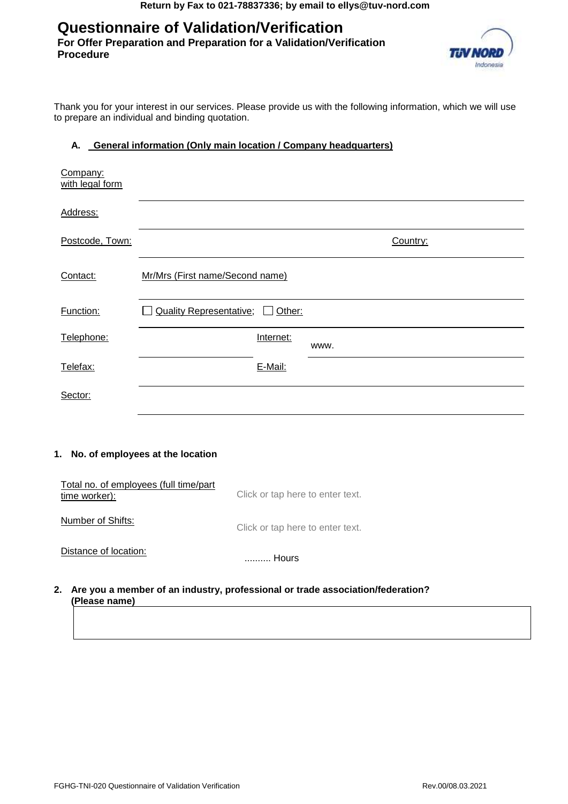# **Questionnaire of Validation/Verification**

**For Offer Preparation and Preparation for a Validation/Verification Procedure** 



Thank you for your interest in our services. Please provide us with the following information, which we will use to prepare an individual and binding quotation.

### **A. General information (Only main location / Company headquarters)**

| Company:<br>with legal form         |                                                                            |  |  |  |  |
|-------------------------------------|----------------------------------------------------------------------------|--|--|--|--|
| Address:                            |                                                                            |  |  |  |  |
| Postcode, Town:                     | Country:                                                                   |  |  |  |  |
| Contact:                            | Mr/Mrs (First name/Second name)                                            |  |  |  |  |
| Function:                           | <b>Quality Representative;</b><br>Other:                                   |  |  |  |  |
| Telephone:                          | Internet:<br>www.                                                          |  |  |  |  |
| Telefax:                            | E-Mail:                                                                    |  |  |  |  |
| Sector:                             |                                                                            |  |  |  |  |
| 1. No. of employees at the location |                                                                            |  |  |  |  |
| time worker):                       | Total no. of employees (full time/part<br>Click or tap here to enter text. |  |  |  |  |
| Number of Shifts:                   | Click or tap here to enter text.                                           |  |  |  |  |
| Distance of location:               |                                                                            |  |  |  |  |

#### **2. Are you a member of an industry, professional or trade association/federation? (Please name)**

.......... Hours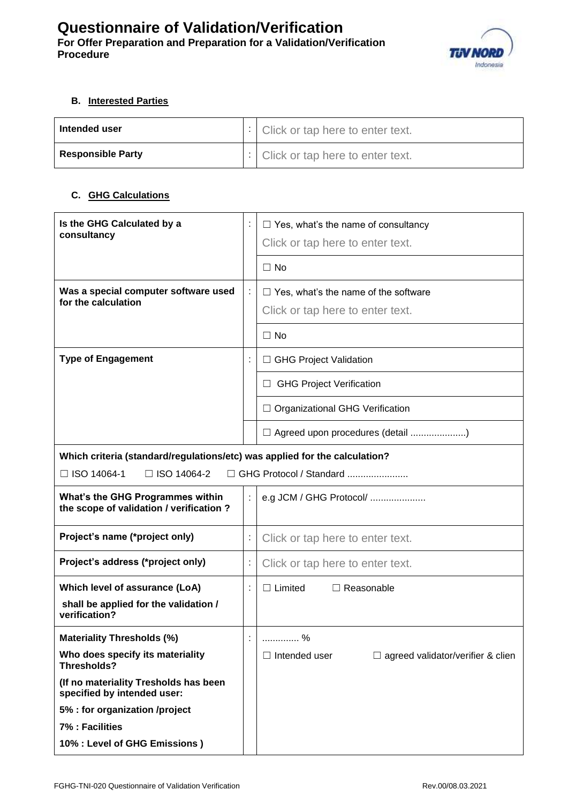

## **B. Interested Parties**

| Intended user            | $\lvert \cdot \rvert$ Click or tap here to enter text. |
|--------------------------|--------------------------------------------------------|
| <b>Responsible Party</b> | $\lvert \cdot \rvert$ Click or tap here to enter text. |

### **C. GHG Calculations**

| Is the GHG Calculated by a<br>consultancy                                    |                | $\Box$ Yes, what's the name of consultancy<br>Click or tap here to enter text.  |  |
|------------------------------------------------------------------------------|----------------|---------------------------------------------------------------------------------|--|
|                                                                              |                | $\Box$ No                                                                       |  |
| Was a special computer software used<br>for the calculation                  |                | $\Box$ Yes, what's the name of the software<br>Click or tap here to enter text. |  |
|                                                                              |                | $\Box$ No                                                                       |  |
| <b>Type of Engagement</b>                                                    |                | □ GHG Project Validation                                                        |  |
|                                                                              |                | <b>GHG Project Verification</b><br>⊔                                            |  |
|                                                                              |                | $\Box$ Organizational GHG Verification                                          |  |
|                                                                              |                | $\Box$ Agreed upon procedures (detail )                                         |  |
| Which criteria (standard/regulations/etc) was applied for the calculation?   |                |                                                                                 |  |
| □ ISO 14064-1<br>$\Box$ ISO 14064-2                                          |                | □ GHG Protocol / Standard                                                       |  |
| What's the GHG Programmes within<br>the scope of validation / verification ? | ÷              | e.g JCM / GHG Protocol/                                                         |  |
| Project's name (*project only)                                               | ÷              | Click or tap here to enter text.                                                |  |
| Project's address (*project only)                                            |                | Click or tap here to enter text.                                                |  |
| Which level of assurance (LoA)                                               |                | $\Box$ Limited<br>$\Box$ Reasonable                                             |  |
| shall be applied for the validation /<br>verification?                       |                |                                                                                 |  |
| <b>Materiality Thresholds (%)</b>                                            | $\blacksquare$ | %                                                                               |  |
| Who does specify its materiality<br>Thresholds?                              |                | $\Box$ agreed validator/verifier & clien<br>$\Box$ Intended user                |  |
| (If no materiality Tresholds has been<br>specified by intended user:         |                |                                                                                 |  |
| 5% : for organization /project                                               |                |                                                                                 |  |
| 7% : Facilities                                                              |                |                                                                                 |  |
| 10% : Level of GHG Emissions)                                                |                |                                                                                 |  |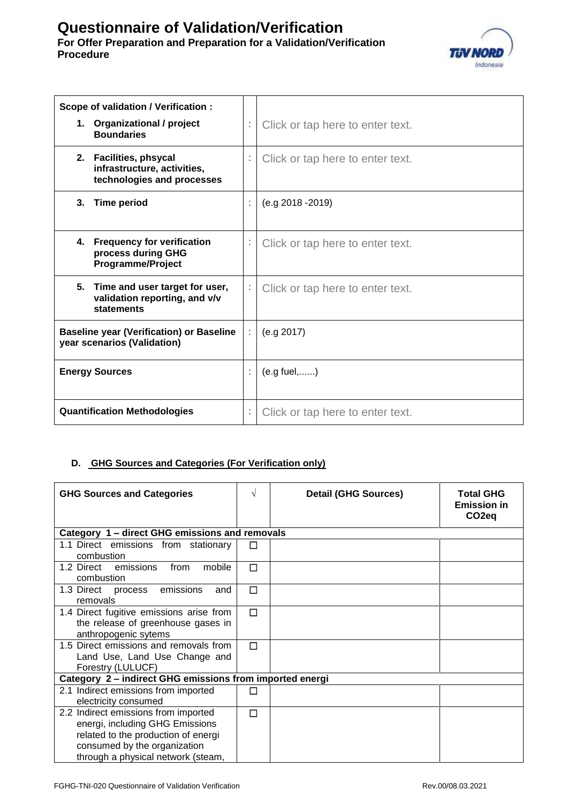# **Questionnaire of Validation/Verification For Offer Preparation and Preparation for a Validation/Verification Procedure**



| Scope of validation / Verification :                                                          |   |                                  |
|-----------------------------------------------------------------------------------------------|---|----------------------------------|
| 1. Organizational / project<br><b>Boundaries</b>                                              |   | Click or tap here to enter text. |
| <b>Facilities, phsycal</b><br>2.<br>infrastructure, activities,<br>technologies and processes | İ | Click or tap here to enter text. |
| 3.<br><b>Time period</b>                                                                      |   | $(e.g. 2018 - 2019)$             |
| <b>Frequency for verification</b><br>4.<br>process during GHG<br><b>Programme/Project</b>     |   | Click or tap here to enter text. |
| 5.<br>Time and user target for user,<br>validation reporting, and v/v<br>statements           | ÷ | Click or tap here to enter text. |
| <b>Baseline year (Verification) or Baseline</b><br>year scenarios (Validation)                |   | (e.g. 2017)                      |
| <b>Energy Sources</b>                                                                         |   | $(e.g.$ fuel,)                   |
| <b>Quantification Methodologies</b>                                                           |   | Click or tap here to enter text. |

# **D. GHG Sources and Categories (For Verification only)**

| <b>GHG Sources and Categories</b>                                                                                                                                                    | $\sqrt{ }$ | <b>Detail (GHG Sources)</b> | <b>Total GHG</b><br><b>Emission in</b><br>CO <sub>2</sub> eq |
|--------------------------------------------------------------------------------------------------------------------------------------------------------------------------------------|------------|-----------------------------|--------------------------------------------------------------|
| Category 1 – direct GHG emissions and removals                                                                                                                                       |            |                             |                                                              |
| 1.1 Direct emissions from stationary<br>combustion                                                                                                                                   |            |                             |                                                              |
| mobile<br>1.2 Direct emissions<br>from<br>combustion                                                                                                                                 | $\Box$     |                             |                                                              |
| 1.3 Direct process emissions<br>and<br>removals                                                                                                                                      | П          |                             |                                                              |
| 1.4 Direct fugitive emissions arise from<br>the release of greenhouse gases in<br>anthropogenic sytems                                                                               | П          |                             |                                                              |
| 1.5 Direct emissions and removals from<br>Land Use, Land Use Change and<br>Forestry (LULUCF)                                                                                         | П          |                             |                                                              |
| Category 2 - indirect GHG emissions from imported energi                                                                                                                             |            |                             |                                                              |
| 2.1 Indirect emissions from imported<br>electricity consumed                                                                                                                         |            |                             |                                                              |
| 2.2 Indirect emissions from imported<br>energi, including GHG Emissions<br>related to the production of energi<br>consumed by the organization<br>through a physical network (steam, | П          |                             |                                                              |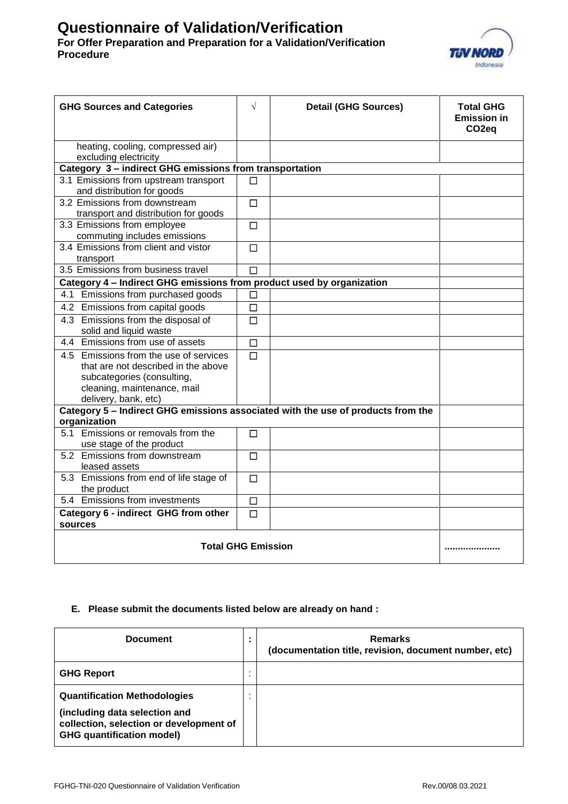# **Questionnaire of Validation/Verification For Offer Preparation and Preparation for a Validation/Verification Procedure**



| <b>GHG Sources and Categories</b>                                                                                                                                  | $\sqrt{ }$ | <b>Detail (GHG Sources)</b> | <b>Total GHG</b><br><b>Emission in</b><br>CO <sub>2</sub> eq |
|--------------------------------------------------------------------------------------------------------------------------------------------------------------------|------------|-----------------------------|--------------------------------------------------------------|
| heating, cooling, compressed air)<br>excluding electricity                                                                                                         |            |                             |                                                              |
| Category 3 - indirect GHG emissions from transportation                                                                                                            |            |                             |                                                              |
| 3.1 Emissions from upstream transport<br>and distribution for goods                                                                                                | П          |                             |                                                              |
| 3.2 Emissions from downstream<br>transport and distribution for goods                                                                                              | $\Box$     |                             |                                                              |
| 3.3 Emissions from employee<br>commuting includes emissions                                                                                                        | $\Box$     |                             |                                                              |
| 3.4 Emissions from client and vistor<br>transport                                                                                                                  | $\Box$     |                             |                                                              |
| 3.5 Emissions from business travel                                                                                                                                 | $\Box$     |                             |                                                              |
| Category 4 - Indirect GHG emissions from product used by organization                                                                                              |            |                             |                                                              |
| 4.1 Emissions from purchased goods                                                                                                                                 | $\Box$     |                             |                                                              |
| 4.2 Emissions from capital goods                                                                                                                                   | $\Box$     |                             |                                                              |
| 4.3 Emissions from the disposal of<br>solid and liquid waste                                                                                                       | $\Box$     |                             |                                                              |
| 4.4 Emissions from use of assets                                                                                                                                   | $\Box$     |                             |                                                              |
| 4.5 Emissions from the use of services<br>that are not described in the above<br>subcategories (consulting,<br>cleaning, maintenance, mail<br>delivery, bank, etc) | $\Box$     |                             |                                                              |
| Category 5 - Indirect GHG emissions associated with the use of products from the                                                                                   |            |                             |                                                              |
| organization<br>5.1 Emissions or removals from the                                                                                                                 |            |                             |                                                              |
| use stage of the product                                                                                                                                           | $\Box$     |                             |                                                              |
| 5.2 Emissions from downstream<br>leased assets                                                                                                                     | $\Box$     |                             |                                                              |
| 5.3 Emissions from end of life stage of<br>the product                                                                                                             | П          |                             |                                                              |
| 5.4 Emissions from investments                                                                                                                                     | $\Box$     |                             |                                                              |
| Category 6 - indirect GHG from other<br>sources                                                                                                                    | $\Box$     |                             |                                                              |
| <b>Total GHG Emission</b>                                                                                                                                          |            |                             |                                                              |

## **E. Please submit the documents listed below are already on hand :**

| <b>Document</b>                                                                                                                                     |  | <b>Remarks</b><br>(documentation title, revision, document number, etc) |
|-----------------------------------------------------------------------------------------------------------------------------------------------------|--|-------------------------------------------------------------------------|
| <b>GHG Report</b>                                                                                                                                   |  |                                                                         |
| <b>Quantification Methodologies</b><br>(including data selection and<br>collection, selection or development of<br><b>GHG</b> quantification model) |  |                                                                         |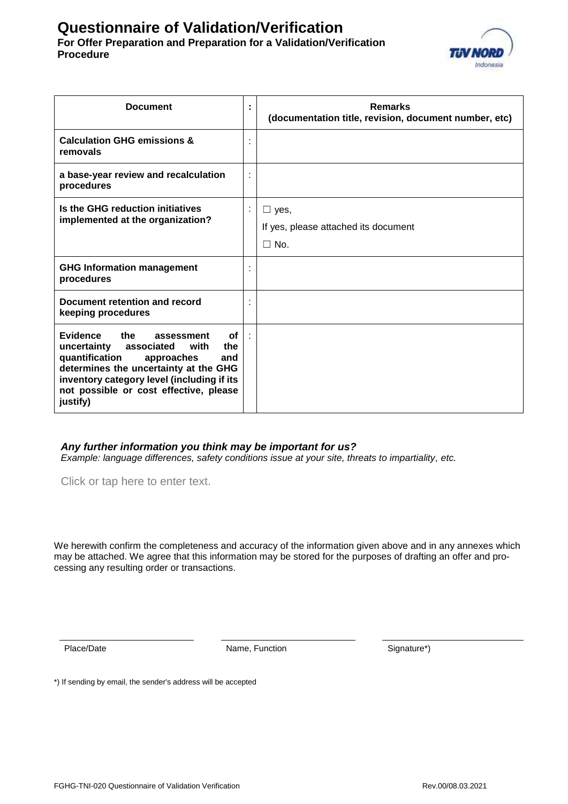# **Questionnaire of Validation/Verification For Offer Preparation and Preparation for a Validation/Verification Procedure**



| <b>Document</b>                                                                                                                                                                                                                                                  | ٠<br>٠ | <b>Remarks</b><br>(documentation title, revision, document number, etc) |
|------------------------------------------------------------------------------------------------------------------------------------------------------------------------------------------------------------------------------------------------------------------|--------|-------------------------------------------------------------------------|
| <b>Calculation GHG emissions &amp;</b><br>removals                                                                                                                                                                                                               |        |                                                                         |
| a base-year review and recalculation<br>procedures                                                                                                                                                                                                               | ٠      |                                                                         |
| Is the GHG reduction initiatives<br>implemented at the organization?                                                                                                                                                                                             |        | $\Box$ yes,<br>If yes, please attached its document<br>$\Box$ No.       |
| <b>GHG Information management</b><br>procedures                                                                                                                                                                                                                  |        |                                                                         |
| Document retention and record<br>keeping procedures                                                                                                                                                                                                              |        |                                                                         |
| Evidence<br>the<br>οf<br>assessment<br>uncertainty<br>associated with<br>the<br>quantification<br>approaches<br>and<br>determines the uncertainty at the GHG<br>inventory category level (including if its<br>not possible or cost effective, please<br>justify) |        |                                                                         |

### *Any further information you think may be important for us?*

*Example: language differences, safety conditions issue at your site, threats to impartiality, etc.*

Click or tap here to enter text.

We herewith confirm the completeness and accuracy of the information given above and in any annexes which may be attached. We agree that this information may be stored for the purposes of drafting an offer and processing any resulting order or transactions.

Place/Date **Name, Function** Signature\*)

\*) If sending by email, the sender's address will be accepted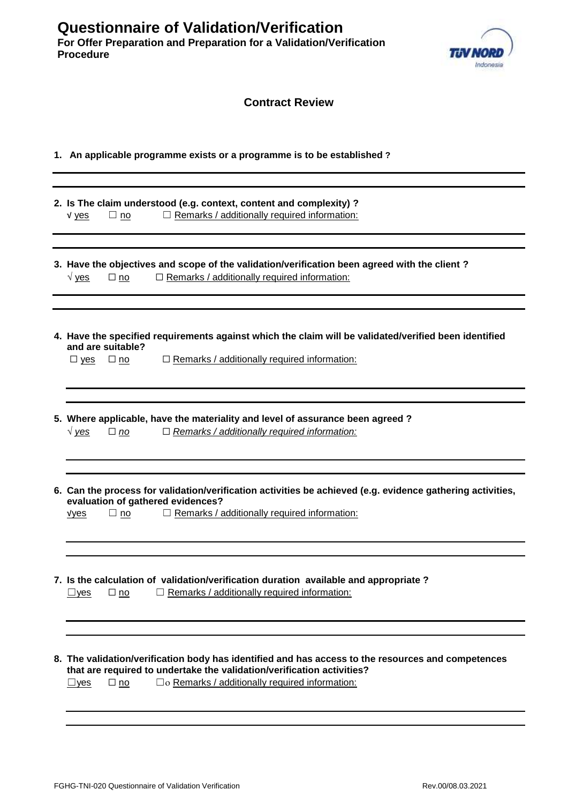

| <b>Contract Review</b>                                                                                                                                                                                                                                      |
|-------------------------------------------------------------------------------------------------------------------------------------------------------------------------------------------------------------------------------------------------------------|
| 1. An applicable programme exists or a programme is to be established?                                                                                                                                                                                      |
| 2. Is The claim understood (e.g. context, content and complexity) ?<br>$\Box$ Remarks / additionally required information:<br>$V$ yes<br>$\Box$ no                                                                                                          |
| 3. Have the objectives and scope of the validation/verification been agreed with the client ?<br>$\Box$ Remarks / additionally required information:<br>$\sqrt{y}$ yes<br>$\Box$ no                                                                         |
| 4. Have the specified requirements against which the claim will be validated/verified been identified<br>and are suitable?<br>$\Box$ Remarks / additionally required information:<br>$\Box$ yes<br>$\square$ no                                             |
| 5. Where applicable, have the materiality and level of assurance been agreed?<br>$\Box$ Remarks / additionally required information:<br>$\sqrt{y}$ es<br>$\Box$ no                                                                                          |
| 6. Can the process for validation/verification activities be achieved (e.g. evidence gathering activities,<br>evaluation of gathered evidences?<br>$\Box$ Remarks / additionally required information:<br>$\Box$ no<br><u>vyes</u>                          |
| 7. Is the calculation of validation/verification duration available and appropriate?<br>$\Box$ Remarks / additionally required information:<br>$\Box$ no<br>$\square$ yes                                                                                   |
| 8. The validation/verification body has identified and has access to the resources and competences<br>that are required to undertake the validation/verification activities?<br>□ o Remarks / additionally required information:<br>$\Box$ yes<br>$\Box$ no |